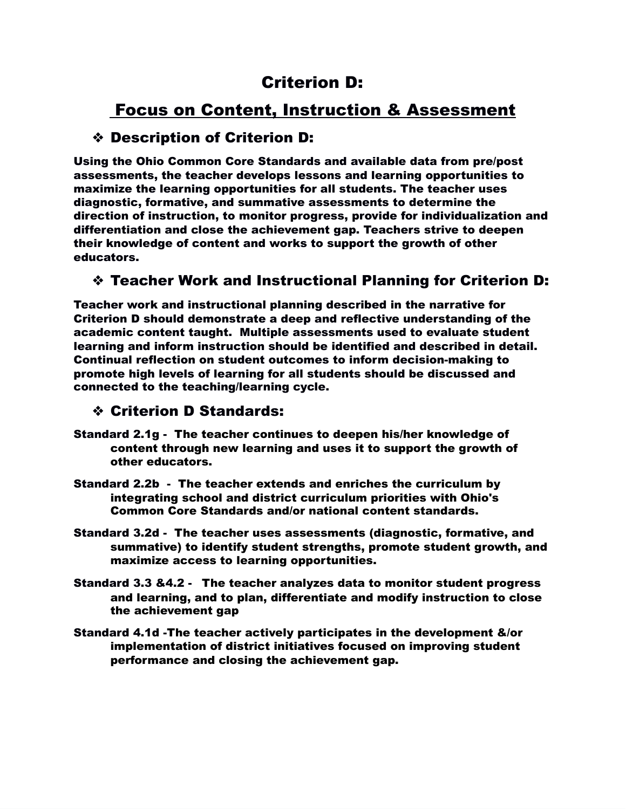# Criterion D:

# Focus on Content, Instruction & Assessment

## ❖ Description of Criterion D:

Using the Ohio Common Core Standards and available data from pre/post assessments, the teacher develops lessons and learning opportunities to maximize the learning opportunities for all students. The teacher uses diagnostic, formative, and summative assessments to determine the direction of instruction, to monitor progress, provide for individualization and differentiation and close the achievement gap. Teachers strive to deepen their knowledge of content and works to support the growth of other educators.

### ❖ Teacher Work and Instructional Planning for Criterion D:

Teacher work and instructional planning described in the narrative for Criterion D should demonstrate a deep and reflective understanding of the academic content taught. Multiple assessments used to evaluate student learning and inform instruction should be identified and described in detail. Continual reflection on student outcomes to inform decision-making to promote high levels of learning for all students should be discussed and connected to the teaching/learning cycle.

### ❖ Criterion D Standards:

- Standard 2.1g The teacher continues to deepen his/her knowledge of content through new learning and uses it to support the growth of other educators.
- Standard 2.2b The teacher extends and enriches the curriculum by integrating school and district curriculum priorities with Ohio's Common Core Standards and/or national content standards.
- Standard 3.2d The teacher uses assessments (diagnostic, formative, and summative) to identify student strengths, promote student growth, and maximize access to learning opportunities.
- Standard 3.3 &4.2 The teacher analyzes data to monitor student progress and learning, and to plan, differentiate and modify instruction to close the achievement gap
- Standard 4.1d -The teacher actively participates in the development &/or implementation of district initiatives focused on improving student performance and closing the achievement gap.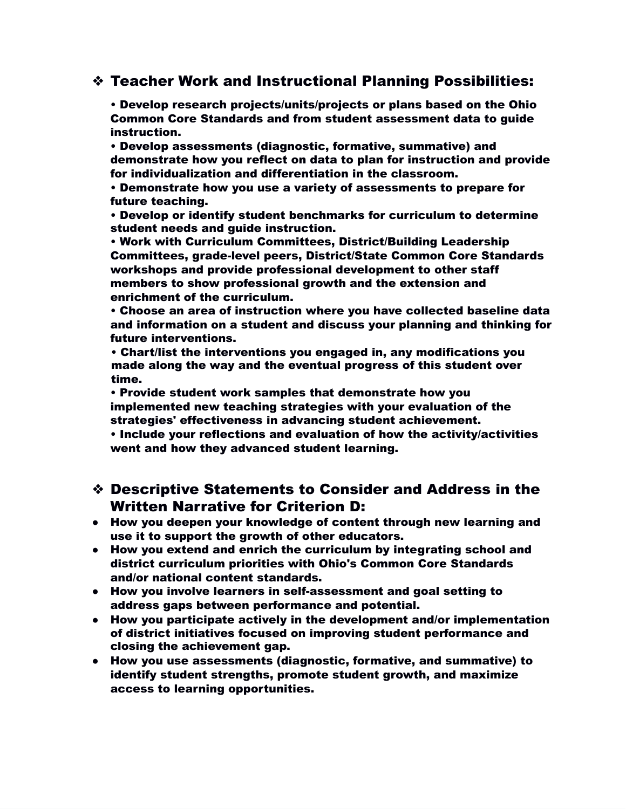#### ❖ Teacher Work and Instructional Planning Possibilities:

• Develop research projects/units/projects or plans based on the Ohio Common Core Standards and from student assessment data to guide instruction.

• Develop assessments (diagnostic, formative, summative) and demonstrate how you reflect on data to plan for instruction and provide for individualization and differentiation in the classroom.

• Demonstrate how you use a variety of assessments to prepare for future teaching.

• Develop or identify student benchmarks for curriculum to determine student needs and guide instruction.

• Work with Curriculum Committees, District/Building Leadership Committees, grade-level peers, District/State Common Core Standards workshops and provide professional development to other staff members to show professional growth and the extension and enrichment of the curriculum.

• Choose an area of instruction where you have collected baseline data and information on a student and discuss your planning and thinking for future interventions.

• Chart/list the interventions you engaged in, any modifications you made along the way and the eventual progress of this student over time.

• Provide student work samples that demonstrate how you implemented new teaching strategies with your evaluation of the strategies' effectiveness in advancing student achievement.

• Include your reflections and evaluation of how the activity/activities went and how they advanced student learning.

- ❖ Descriptive Statements to Consider and Address in the Written Narrative for Criterion D:
- How you deepen your knowledge of content through new learning and use it to support the growth of other educators.
- How you extend and enrich the curriculum by integrating school and district curriculum priorities with Ohio's Common Core Standards and/or national content standards.
- How you involve learners in self-assessment and goal setting to address gaps between performance and potential.
- How you participate actively in the development and/or implementation of district initiatives focused on improving student performance and closing the achievement gap.
- How you use assessments (diagnostic, formative, and summative) to identify student strengths, promote student growth, and maximize access to learning opportunities.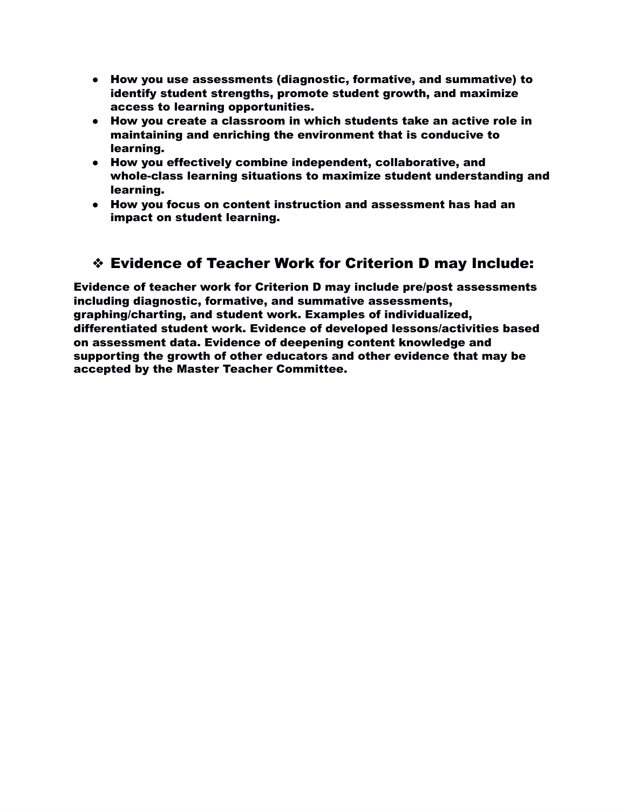- How you use assessments (diagnostic, formative, and summative) to identify student strengths, promote student growth, and maximize access to learning opportunities.
- How you create a classroom in which students take an active role in maintaining and enriching the environment that is conducive to learning.
- How you effectively combine independent, collaborative, and whole-class learning situations to maximize student understanding and learning.
- How you focus on content instruction and assessment has had an impact on student learning.

## ❖ Evidence of Teacher Work for Criterion D may Include:

Evidence of teacher work for Criterion D may include pre/post assessments including diagnostic, formative, and summative assessments, graphing/charting, and student work. Examples of individualized, differentiated student work. Evidence of developed lessons/activities based on assessment data. Evidence of deepening content knowledge and supporting the growth of other educators and other evidence that may be accepted by the Master Teacher Committee.